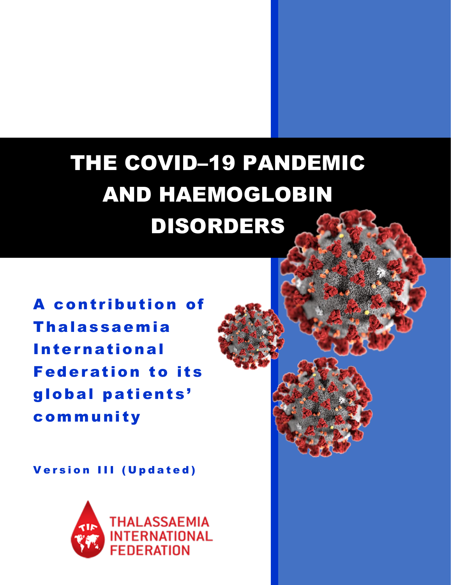# THE COVID–19 PANDEMIC AND HAEMOGLOBIN DISORDERS

A contribution of Thalassaemia International Federation to its global patients' community

Version III (Updated)

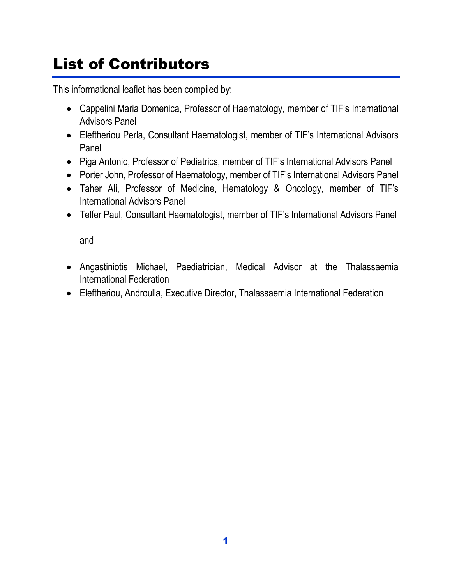# List of Contributors

This informational leaflet has been compiled by:

- Cappelini Maria Domenica, Professor of Haematology, member of TIF's International Advisors Panel
- Eleftheriou Perla, Consultant Haematologist, member of TIF's International Advisors Panel
- Piga Antonio, Professor of Pediatrics, member of TIF's International Advisors Panel
- Porter John, Professor of Haematology, member of TIF's International Advisors Panel
- Taher Ali, Professor of Medicine, Hematology & Oncology, member of TIF's International Advisors Panel
- Telfer Paul, Consultant Haematologist, member of TIF's International Advisors Panel

and

- Angastiniotis Michael, Paediatrician, Medical Advisor at the Thalassaemia International Federation
- Eleftheriou, Androulla, Executive Director, Thalassaemia International Federation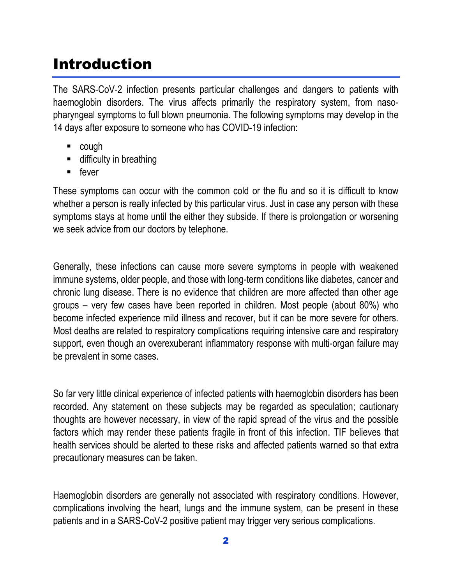### Introduction

The SARS-CoV-2 infection presents particular challenges and dangers to patients with haemoglobin disorders. The virus affects primarily the respiratory system, from nasopharyngeal symptoms to full blown pneumonia. The following symptoms may develop in the 14 days after exposure to someone who has COVID-19 infection:

- cough
- **difficulty in breathing**
- $\blacksquare$  fever

These symptoms can occur with the common cold or the flu and so it is difficult to know whether a person is really infected by this particular virus. Just in case any person with these symptoms stays at home until the either they subside. If there is prolongation or worsening we seek advice from our doctors by telephone.

Generally, these infections can cause more severe symptoms in people with weakened immune systems, older people, and those with long-term conditions like diabetes, cancer and chronic lung disease. There is no evidence that children are more affected than other age groups – very few cases have been reported in children. Most people (about 80%) who become infected experience mild illness and recover, but it can be more severe for others. Most deaths are related to respiratory complications requiring intensive care and respiratory support, even though an overexuberant inflammatory response with multi-organ failure may be prevalent in some cases.

So far very little clinical experience of infected patients with haemoglobin disorders has been recorded. Any statement on these subjects may be regarded as speculation; cautionary thoughts are however necessary, in view of the rapid spread of the virus and the possible factors which may render these patients fragile in front of this infection. TIF believes that health services should be alerted to these risks and affected patients warned so that extra precautionary measures can be taken.

Haemoglobin disorders are generally not associated with respiratory conditions. However, complications involving the heart, lungs and the immune system, can be present in these patients and in a SARS-CoV-2 positive patient may trigger very serious complications.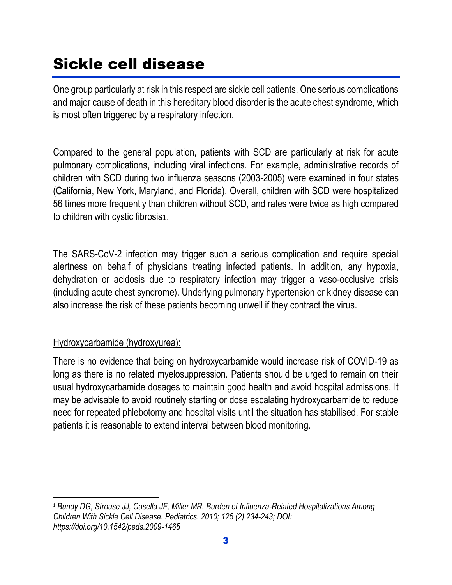## Sickle cell disease

One group particularly at risk in this respect are sickle cell patients. One serious complications and major cause of death in this hereditary blood disorder is the acute chest syndrome, which is most often triggered by a respiratory infection.

Compared to the general population, patients with SCD are particularly at risk for acute pulmonary complications, including viral infections. For example, administrative records of children with SCD during two influenza seasons (2003-2005) were examined in four states (California, New York, Maryland, and Florida). Overall, children with SCD were hospitalized 56 times more frequently than children without SCD, and rates were twice as high compared to children with cystic fibrosis1.

The SARS-CoV-2 infection may trigger such a serious complication and require special alertness on behalf of physicians treating infected patients. In addition, any hypoxia, dehydration or acidosis due to respiratory infection may trigger a vaso-occlusive crisis (including acute chest syndrome). Underlying pulmonary hypertension or kidney disease can also increase the risk of these patients becoming unwell if they contract the virus.

#### Hydroxycarbamide (hydroxyurea):

There is no evidence that being on hydroxycarbamide would increase risk of COVID-19 as long as there is no related myelosuppression. Patients should be urged to remain on their usual hydroxycarbamide dosages to maintain good health and avoid hospital admissions. It may be advisable to avoid routinely starting or dose escalating hydroxycarbamide to reduce need for repeated phlebotomy and hospital visits until the situation has stabilised. For stable patients it is reasonable to extend interval between blood monitoring.

 $\overline{\phantom{a}}$ <sup>1</sup> *Bundy DG, Strouse JJ, Casella JF, Miller MR. Burden of Influenza-Related Hospitalizations Among Children With Sickle Cell Disease. Pediatrics. 2010; 125 (2) 234-243; DOI: https://doi.org/10.1542/peds.2009-1465*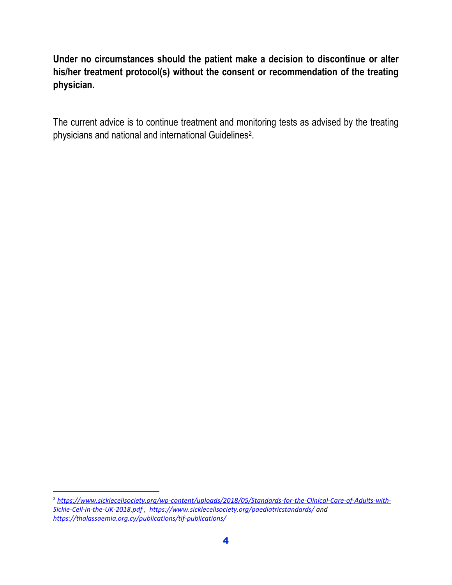**Under no circumstances should the patient make a decision to discontinue or alter his/her treatment protocol(s) without the consent or recommendation of the treating physician.** 

The current advice is to continue treatment and monitoring tests as advised by the treating physicians and national and international Guidelines<sup>2</sup> .

 $\overline{a}$ 

<sup>2</sup> *[https://www.sicklecellsociety.org/wp-content/uploads/2018/05/Standards-for-the-Clinical-Care-of-Adults-with-](https://www.sicklecellsociety.org/wp-content/uploads/2018/05/Standards-for-the-Clinical-Care-of-Adults-with-Sickle-Cell-in-the-UK-2018.pdf)[Sickle-Cell-in-the-UK-2018.pdf](https://www.sicklecellsociety.org/wp-content/uploads/2018/05/Standards-for-the-Clinical-Care-of-Adults-with-Sickle-Cell-in-the-UK-2018.pdf) ,<https://www.sicklecellsociety.org/paediatricstandards/> and <https://thalassaemia.org.cy/publications/tif-publications/>*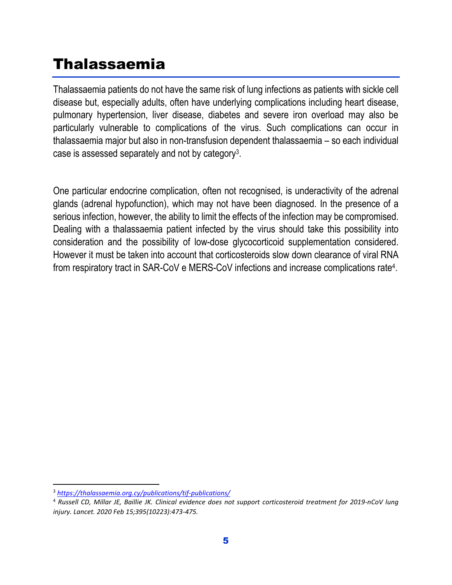### Thalassaemia

Thalassaemia patients do not have the same risk of lung infections as patients with sickle cell disease but, especially adults, often have underlying complications including heart disease, pulmonary hypertension, liver disease, diabetes and severe iron overload may also be particularly vulnerable to complications of the virus. Such complications can occur in thalassaemia major but also in non-transfusion dependent thalassaemia – so each individual case is assessed separately and not by category<sup>3</sup>.

One particular endocrine complication, often not recognised, is underactivity of the adrenal glands (adrenal hypofunction), which may not have been diagnosed. In the presence of a serious infection, however, the ability to limit the effects of the infection may be compromised. Dealing with a thalassaemia patient infected by the virus should take this possibility into consideration and the possibility of low-dose glycocorticoid supplementation considered. However it must be taken into account that corticosteroids slow down clearance of viral RNA from respiratory tract in SAR-CoV e MERS-CoV infections and increase complications rate<sup>4</sup>.

 $\overline{\phantom{a}}$ <sup>3</sup> *<https://thalassaemia.org.cy/publications/tif-publications/>*

<sup>4</sup> *Russell CD, Millar JE, Baillie JK. Clinical evidence does not support corticosteroid treatment for 2019-nCoV lung injury. Lancet. 2020 Feb 15;395(10223):473-475.*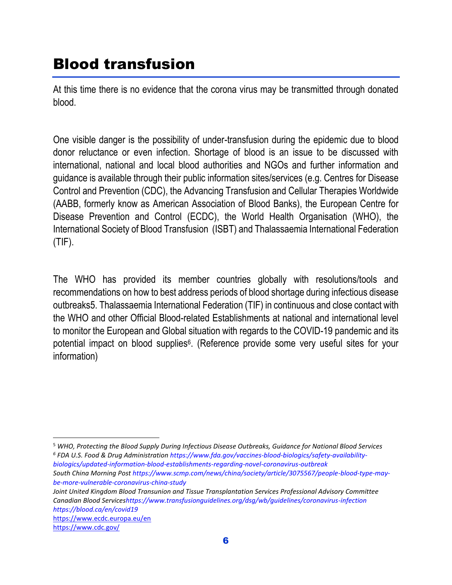### Blood transfusion

At this time there is no evidence that the corona virus may be transmitted through donated blood.

One visible danger is the possibility of under-transfusion during the epidemic due to blood donor reluctance or even infection. Shortage of blood is an issue to be discussed with international, national and local blood authorities and NGOs and further information and guidance is available through their public information sites/services (e.g. Centres for Disease Control and Prevention (CDC), the Advancing Transfusion and Cellular Therapies Worldwide (AABB, formerly know as American Association of Blood Banks), the European Centre for Disease Prevention and Control (ECDC), the World Health Organisation (WHO), the International Society of Blood Transfusion (ISBT) and Thalassaemia International Federation (TIF).

The WHO has provided its member countries globally with resolutions/tools and recommendations on how to best address periods of blood shortage during infectious disease outbreaks5. Thalassaemia International Federation (TIF) in continuous and close contact with the WHO and other Official Blood-related Establishments at national and international level to monitor the European and Global situation with regards to the COVID-19 pandemic and its potential impact on blood supplies<sup>6</sup>. (Reference provide some very useful sites for your information)

*Joint United Kingdom Blood Transunion and Tissue Transplantation Services Professional Advisory Committee Canadian Blood Service[shttps://www.transfusionguidelines.org/dsg/wb/guidelines/coronavirus-infection](https://www.transfusionguidelines.org/dsg/wb/guidelines/coronavirus-infection) <https://blood.ca/en/covid19>*

<https://www.ecdc.europa.eu/en>

 $\overline{\phantom{a}}$ 

<sup>5</sup> *WHO, Protecting the Blood Supply During Infectious Disease Outbreaks, Guidance for National Blood Services 6 FDA U.S. Food & Drug Administratio[n https://www.fda.gov/vaccines-blood-biologics/safety-availability](https://www.fda.gov/vaccines-blood-biologics/safety-availability-biologics/updated-information-blood-establishments-regarding-novel-coronavirus-outbreak)[biologics/updated-information-blood-establishments-regarding-novel-coronavirus-outbreak](https://www.fda.gov/vaccines-blood-biologics/safety-availability-biologics/updated-information-blood-establishments-regarding-novel-coronavirus-outbreak)*

*South China Morning Pos[t https://www.scmp.com/news/china/society/article/3075567/people-blood-type-may](https://www.scmp.com/news/china/society/article/3075567/people-blood-type-may-be-more-vulnerable-coronavirus-china-study)[be-more-vulnerable-coronavirus-china-study](https://www.scmp.com/news/china/society/article/3075567/people-blood-type-may-be-more-vulnerable-coronavirus-china-study)*

<https://www.cdc.gov/>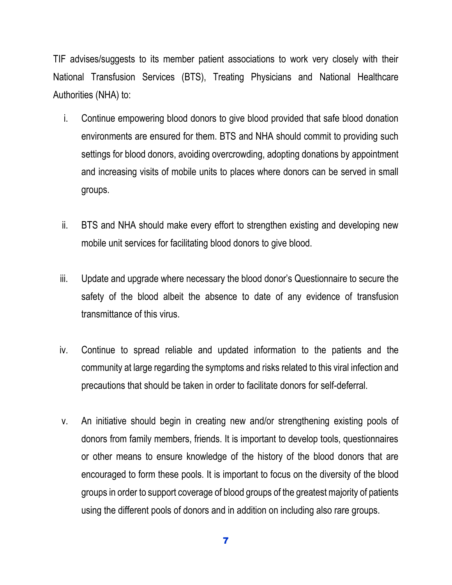TIF advises/suggests to its member patient associations to work very closely with their National Transfusion Services (BTS), Treating Physicians and National Healthcare Authorities (NHA) to:

- i. Continue empowering blood donors to give blood provided that safe blood donation environments are ensured for them. BTS and NHA should commit to providing such settings for blood donors, avoiding overcrowding, adopting donations by appointment and increasing visits of mobile units to places where donors can be served in small groups.
- ii. BTS and NHA should make every effort to strengthen existing and developing new mobile unit services for facilitating blood donors to give blood.
- iii. Update and upgrade where necessary the blood donor's Questionnaire to secure the safety of the blood albeit the absence to date of any evidence of transfusion transmittance of this virus.
- iv. Continue to spread reliable and updated information to the patients and the community at large regarding the symptoms and risks related to this viral infection and precautions that should be taken in order to facilitate donors for self-deferral.
- v. An initiative should begin in creating new and/or strengthening existing pools of donors from family members, friends. It is important to develop tools, questionnaires or other means to ensure knowledge of the history of the blood donors that are encouraged to form these pools. It is important to focus on the diversity of the blood groups in order to support coverage of blood groups of the greatest majority of patients using the different pools of donors and in addition on including also rare groups.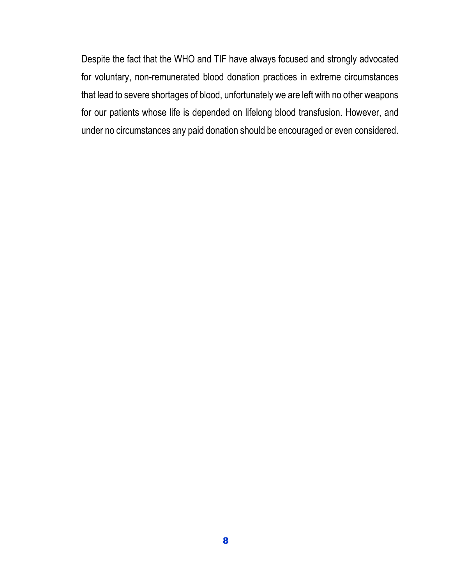Despite the fact that the WHO and TIF have always focused and strongly advocated for voluntary, non-remunerated blood donation practices in extreme circumstances that lead to severe shortages of blood, unfortunately we are left with no other weapons for our patients whose life is depended on lifelong blood transfusion. However, and under no circumstances any paid donation should be encouraged or even considered.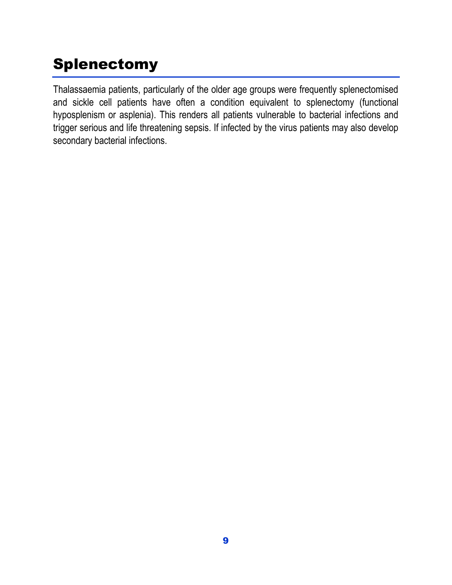# Splenectomy

Thalassaemia patients, particularly of the older age groups were frequently splenectomised and sickle cell patients have often a condition equivalent to splenectomy (functional hyposplenism or asplenia). This renders all patients vulnerable to bacterial infections and trigger serious and life threatening sepsis. If infected by the virus patients may also develop secondary bacterial infections.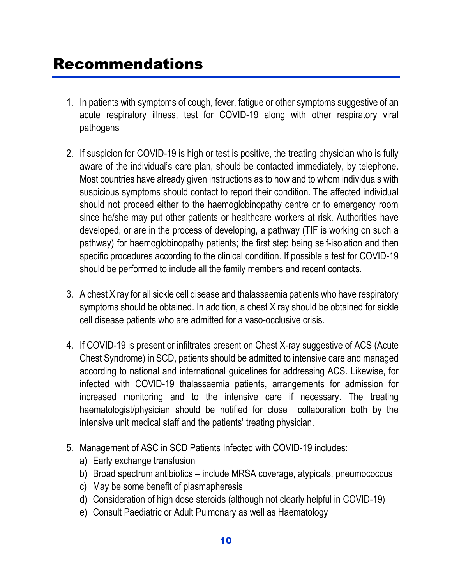- 1. In patients with symptoms of cough, fever, fatigue or other symptoms suggestive of an acute respiratory illness, test for COVID-19 along with other respiratory viral pathogens
- 2. If suspicion for COVID-19 is high or test is positive, the treating physician who is fully aware of the individual's care plan, should be contacted immediately, by telephone. Most countries have already given instructions as to how and to whom individuals with suspicious symptoms should contact to report their condition. The affected individual should not proceed either to the haemoglobinopathy centre or to emergency room since he/she may put other patients or healthcare workers at risk. Authorities have developed, or are in the process of developing, a pathway (TIF is working on such a pathway) for haemoglobinopathy patients; the first step being self-isolation and then specific procedures according to the clinical condition. If possible a test for COVID-19 should be performed to include all the family members and recent contacts.
- 3. A chest X ray for all sickle cell disease and thalassaemia patients who have respiratory symptoms should be obtained. In addition, a chest X ray should be obtained for sickle cell disease patients who are admitted for a vaso-occlusive crisis.
- 4. If COVID-19 is present or infiltrates present on Chest X-ray suggestive of ACS (Acute Chest Syndrome) in SCD, patients should be admitted to intensive care and managed according to national and international guidelines for addressing ACS. Likewise, for infected with COVID-19 thalassaemia patients, arrangements for admission for increased monitoring and to the intensive care if necessary. The treating haematologist/physician should be notified for close collaboration both by the intensive unit medical staff and the patients' treating physician.
- 5. Management of ASC in SCD Patients Infected with COVID-19 includes:
	- a) Early exchange transfusion
	- b) Broad spectrum antibiotics include MRSA coverage, atypicals, pneumococcus
	- c) May be some benefit of plasmapheresis
	- d) Consideration of high dose steroids (although not clearly helpful in COVID-19)
	- e) Consult Paediatric or Adult Pulmonary as well as Haematology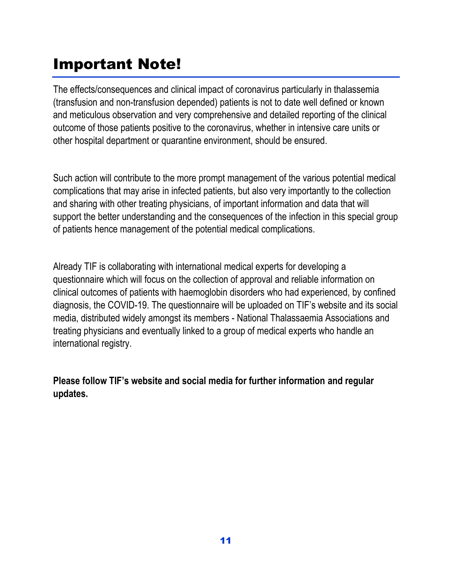## Important Note!

The effects/consequences and clinical impact of coronavirus particularly in thalassemia (transfusion and non-transfusion depended) patients is not to date well defined or known and meticulous observation and very comprehensive and detailed reporting of the clinical outcome of those patients positive to the coronavirus, whether in intensive care units or other hospital department or quarantine environment, should be ensured.

Such action will contribute to the more prompt management of the various potential medical complications that may arise in infected patients, but also very importantly to the collection and sharing with other treating physicians, of important information and data that will support the better understanding and the consequences of the infection in this special group of patients hence management of the potential medical complications.

Already TIF is collaborating with international medical experts for developing a questionnaire which will focus on the collection of approval and reliable information on clinical outcomes of patients with haemoglobin disorders who had experienced, by confined diagnosis, the COVID-19. The questionnaire will be uploaded on TIF's website and its social media, distributed widely amongst its members - National Thalassaemia Associations and treating physicians and eventually linked to a group of medical experts who handle an international registry.

**Please follow TIF's website and social media for further information and regular updates.**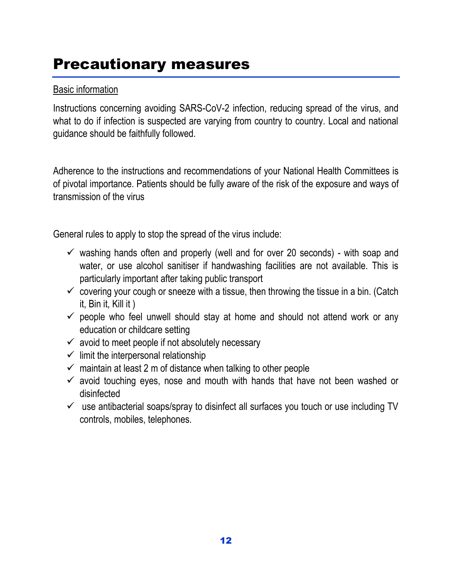### Precautionary measures

#### Basic information

Instructions concerning avoiding SARS-CoV-2 infection, reducing spread of the virus, and what to do if infection is suspected are varying from country to country. Local and national guidance should be faithfully followed.

Adherence to the instructions and recommendations of your National Health Committees is of pivotal importance. Patients should be fully aware of the risk of the exposure and ways of transmission of the virus

General rules to apply to stop the spread of the virus include:

- $\checkmark$  washing hands often and properly (well and for over 20 seconds) with soap and water, or use alcohol sanitiser if handwashing facilities are not available. This is particularly important after taking public transport
- $\checkmark$  covering your cough or sneeze with a tissue, then throwing the tissue in a bin. (Catch it, Bin it, Kill it )
- $\checkmark$  people who feel unwell should stay at home and should not attend work or any education or childcare setting
- $\checkmark$  avoid to meet people if not absolutely necessary
- $\checkmark$  limit the interpersonal relationship
- $\checkmark$  maintain at least 2 m of distance when talking to other people
- $\checkmark$  avoid touching eyes, nose and mouth with hands that have not been washed or disinfected
- $\checkmark$  use antibacterial soaps/spray to disinfect all surfaces you touch or use including TV controls, mobiles, telephones.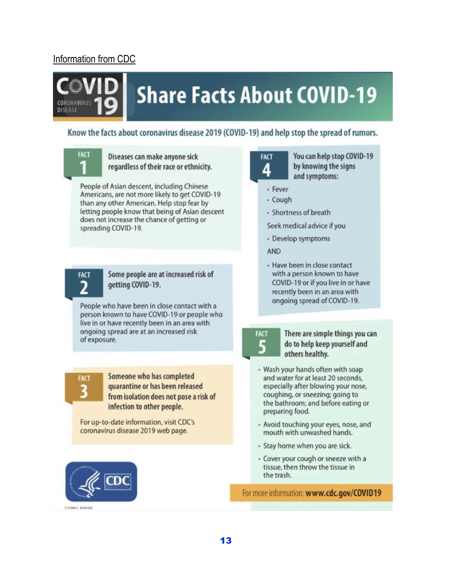#### Information from CDC

# **Share Facts About COVID-19**

#### Know the facts about coronavirus disease 2019 (COVID-19) and help stop the spread of rumors.



**CORONAVIRIE DISEASE** 

> Diseases can make anyone sick regardless of their race or ethnicity.

People of Asian descent, including Chinese Americans, are not more likely to get COVID-19 than any other American. Help stop fear by letting people know that being of Asian descent does not increase the chance of getting or spreading COVID-19.



#### Some people are at increased risk of getting COVID-19.

People who have been in close contact with a person known to have COVID-19 or people who live in or have recently been in an area with ongoing spread are at an increased risk of exposure.



Someone who has completed quarantine or has been released from isolation does not pose a risk of infection to other people.

For up-to-date information, visit CDC's coronavirus disease 2019 web page.





You can help stop COVID-19 by knowing the signs and symptoms:

- · Fever
- · Cough
- Shortness of breath

Seek medical advice if you

· Develop symptoms

**AND** 

· Have been in close contact with a person known to have COVID-19 or if you live in or have recently been in an area with ongoing spread of COVID-19.

FACT 5

There are simple things you can do to help keep yourself and others healthy.

- · Wash your hands often with soap and water for at least 20 seconds, especially after blowing your nose, coughing, or sneezing; going to the bathroom; and before eating or preparing food.
- · Avoid touching your eyes, nose, and mouth with unwashed hands.
- Stay home when you are sick.
- · Cover your cough or sneeze with a tissue, then throw the tissue in the trash.

For more information: www.cdc.gov/COVID19

**CERSIA EUGENE**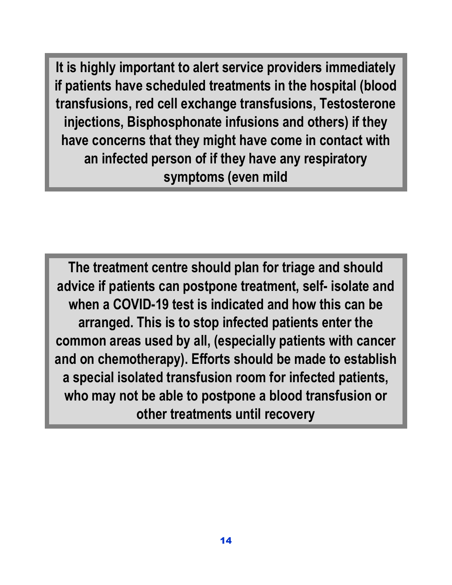**It is highly important to alert service providers immediately if patients have scheduled treatments in the hospital (blood transfusions, red cell exchange transfusions, Testosterone injections, Bisphosphonate infusions and others) if they have concerns that they might have come in contact with an infected person of if they have any respiratory symptoms (even mild**

**The treatment centre should plan for triage and should advice if patients can postpone treatment, self- isolate and when a COVID-19 test is indicated and how this can be arranged. This is to stop infected patients enter the common areas used by all, (especially patients with cancer and on chemotherapy). Efforts should be made to establish a special isolated transfusion room for infected patients, who may not be able to postpone a blood transfusion or other treatments until recovery**